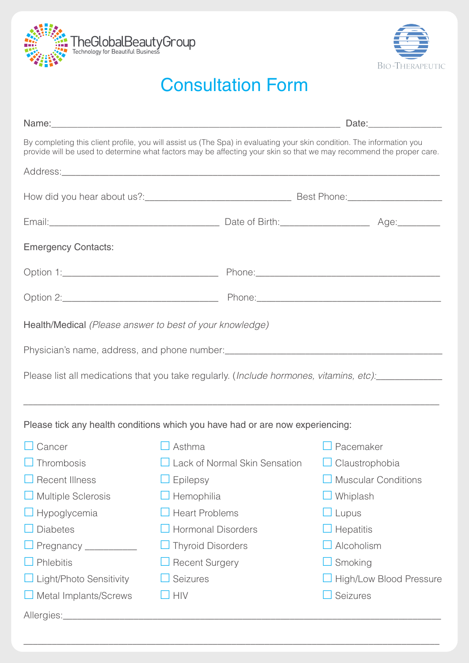



## Consultation Form

| By completing this client profile, you will assist us (The Spa) in evaluating your skin condition. The information you<br>provide will be used to determine what factors may be affecting your skin so that we may recommend the proper care. |                           |  |                                                            |  |  |
|-----------------------------------------------------------------------------------------------------------------------------------------------------------------------------------------------------------------------------------------------|---------------------------|--|------------------------------------------------------------|--|--|
|                                                                                                                                                                                                                                               |                           |  |                                                            |  |  |
|                                                                                                                                                                                                                                               |                           |  |                                                            |  |  |
|                                                                                                                                                                                                                                               |                           |  |                                                            |  |  |
| <b>Emergency Contacts:</b>                                                                                                                                                                                                                    |                           |  |                                                            |  |  |
| Option 1: 2008 Phone: 2008 Phone: 2008 Phone: 2008 Phone: 2008 Phone: 2008 Phone: 2008 Phone: 2008 Phone: 2008 Phone: 2008 Phone: 2008 Phone: 2008 Phone: 2008 Phone: 2008 Phone: 2008 Phone: 2008 Phone: 2008 Phone: 2008 Pho                |                           |  |                                                            |  |  |
|                                                                                                                                                                                                                                               |                           |  |                                                            |  |  |
| Health/Medical (Please answer to best of your knowledge)                                                                                                                                                                                      |                           |  |                                                            |  |  |
|                                                                                                                                                                                                                                               |                           |  |                                                            |  |  |
| Please list all medications that you take regularly. (Include hormones, vitamins, etc):                                                                                                                                                       |                           |  |                                                            |  |  |
|                                                                                                                                                                                                                                               |                           |  |                                                            |  |  |
| Please tick any health conditions which you have had or are now experiencing:                                                                                                                                                                 |                           |  |                                                            |  |  |
| Cancer                                                                                                                                                                                                                                        | Asthma                    |  | $\Box$ Pacemaker                                           |  |  |
| $\Box$ Thrombosis                                                                                                                                                                                                                             |                           |  | $\Box$ Lack of Normal Skin Sensation $\Box$ Claustrophobia |  |  |
| <b>Recent Illness</b>                                                                                                                                                                                                                         | Epilepsy                  |  | <b>Muscular Conditions</b>                                 |  |  |
| <b>Multiple Sclerosis</b>                                                                                                                                                                                                                     | Hemophilia                |  | Whiplash                                                   |  |  |
| Hypoglycemia                                                                                                                                                                                                                                  | <b>Heart Problems</b>     |  | $\Box$ Lupus                                               |  |  |
| <b>Diabetes</b>                                                                                                                                                                                                                               | <b>Hormonal Disorders</b> |  | $\Box$ Hepatitis                                           |  |  |
| Pregnancy ___________                                                                                                                                                                                                                         | <b>Thyroid Disorders</b>  |  | Alcoholism                                                 |  |  |
| Phlebitis                                                                                                                                                                                                                                     | <b>Recent Surgery</b>     |  | Smoking                                                    |  |  |
| Light/Photo Sensitivity                                                                                                                                                                                                                       | Seizures                  |  | High/Low Blood Pressure                                    |  |  |
| Metal Implants/Screws                                                                                                                                                                                                                         | <b>HIV</b>                |  | Seizures                                                   |  |  |
|                                                                                                                                                                                                                                               |                           |  |                                                            |  |  |

\_\_\_\_\_\_\_\_\_\_\_\_\_\_\_\_\_\_\_\_\_\_\_\_\_\_\_\_\_\_\_\_\_\_\_\_\_\_\_\_\_\_\_\_\_\_\_\_\_\_\_\_\_\_\_\_\_\_\_\_\_\_\_\_\_\_\_\_\_\_\_\_\_\_\_\_\_\_\_\_\_\_\_\_\_\_\_\_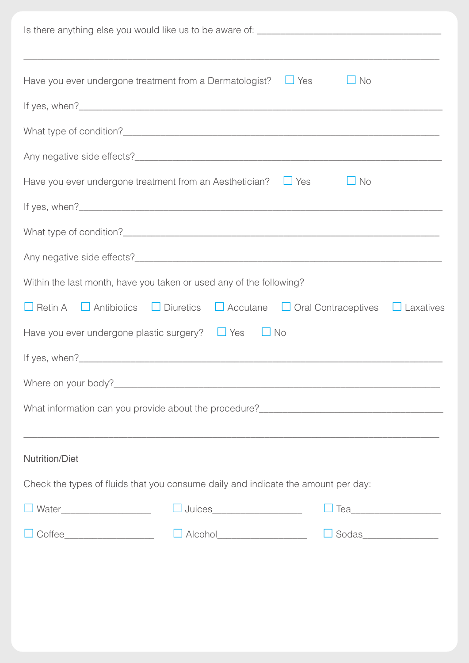| $\Box$ Yes<br>$\Box$ No<br>Have you ever undergone treatment from a Dermatologist?                             |
|----------------------------------------------------------------------------------------------------------------|
|                                                                                                                |
|                                                                                                                |
|                                                                                                                |
| Have you ever undergone treatment from an Aesthetician?<br>$\Box$ Yes<br>$\Box$ No                             |
|                                                                                                                |
|                                                                                                                |
|                                                                                                                |
| Within the last month, have you taken or used any of the following?                                            |
|                                                                                                                |
| $\Box$ Retin A $\Box$ Antibiotics $\Box$ Diuretics $\Box$ Accutane $\Box$ Oral Contraceptives $\Box$ Laxatives |
| Have you ever undergone plastic surgery? $\Box$ Yes<br>$\Box$ No                                               |
|                                                                                                                |
|                                                                                                                |
|                                                                                                                |
|                                                                                                                |
| <b>Nutrition/Diet</b>                                                                                          |
| Check the types of fluids that you consume daily and indicate the amount per day:                              |
| □ Juices_____________________<br><b>□ Water</b> _______________________<br>□ Tea_______________________        |
|                                                                                                                |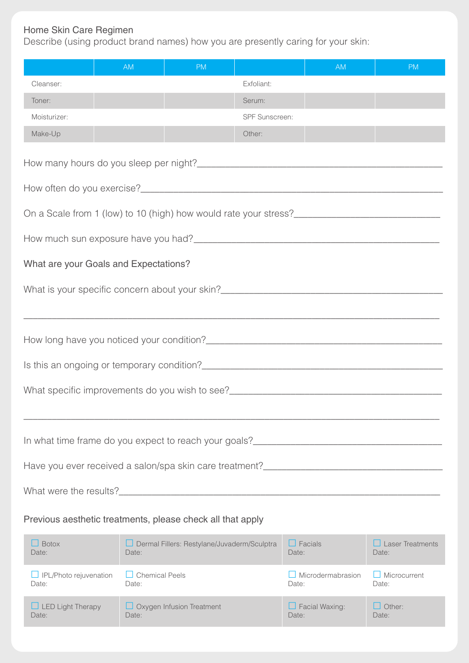## Home Skin Care Regimen

Date:

Date:

Describe (using product brand names) how you are presently caring for your skin:

|                                                            | <b>AM</b>                      | <b>PM</b>                                   |                | <b>AM</b>                                                                                                                                                                                                                                             | <b>PM</b>                        |  |  |
|------------------------------------------------------------|--------------------------------|---------------------------------------------|----------------|-------------------------------------------------------------------------------------------------------------------------------------------------------------------------------------------------------------------------------------------------------|----------------------------------|--|--|
| Cleanser:                                                  |                                |                                             | Exfoliant:     |                                                                                                                                                                                                                                                       |                                  |  |  |
| Toner:                                                     |                                |                                             | Serum:         |                                                                                                                                                                                                                                                       |                                  |  |  |
| Moisturizer:                                               |                                |                                             | SPF Sunscreen: |                                                                                                                                                                                                                                                       |                                  |  |  |
| Make-Up                                                    |                                |                                             | Other:         |                                                                                                                                                                                                                                                       |                                  |  |  |
|                                                            |                                |                                             |                |                                                                                                                                                                                                                                                       |                                  |  |  |
|                                                            |                                |                                             |                |                                                                                                                                                                                                                                                       |                                  |  |  |
|                                                            |                                |                                             |                |                                                                                                                                                                                                                                                       |                                  |  |  |
|                                                            |                                |                                             |                |                                                                                                                                                                                                                                                       |                                  |  |  |
| What are your Goals and Expectations?                      |                                |                                             |                |                                                                                                                                                                                                                                                       |                                  |  |  |
|                                                            |                                |                                             |                |                                                                                                                                                                                                                                                       |                                  |  |  |
|                                                            |                                |                                             |                |                                                                                                                                                                                                                                                       |                                  |  |  |
|                                                            |                                |                                             |                |                                                                                                                                                                                                                                                       |                                  |  |  |
|                                                            |                                |                                             |                |                                                                                                                                                                                                                                                       |                                  |  |  |
|                                                            |                                |                                             |                | What specific improvements do you wish to see?<br><u>[</u> [20] matter of the specific improvements do you wish to see?<br><u>[</u> [20] matter of the specific improvements do you wish to see?<br><u>[</u> [20] matter of the specific improvements |                                  |  |  |
|                                                            |                                |                                             |                |                                                                                                                                                                                                                                                       |                                  |  |  |
| In what time frame do you expect to reach your goals?      |                                |                                             |                |                                                                                                                                                                                                                                                       |                                  |  |  |
|                                                            |                                |                                             |                |                                                                                                                                                                                                                                                       |                                  |  |  |
|                                                            |                                |                                             |                |                                                                                                                                                                                                                                                       |                                  |  |  |
|                                                            |                                |                                             |                |                                                                                                                                                                                                                                                       |                                  |  |  |
| Previous aesthetic treatments, please check all that apply |                                |                                             |                |                                                                                                                                                                                                                                                       |                                  |  |  |
| $\Box$ Botox<br>Date:                                      | Date:                          | Dermal Fillers: Restylane/Juvaderm/Sculptra |                | $\Box$ Facials<br>Date:                                                                                                                                                                                                                               | $\Box$ Laser Treatments<br>Date: |  |  |
| $\Box$ IPL/Photo rejuvenation<br>Date:                     | $\Box$ Chemical Peels<br>Date: |                                             |                | $\Box$ Microdermabrasion<br>Date:                                                                                                                                                                                                                     | $\Box$ Microcurrent<br>Date:     |  |  |
| $\Box$ LED Light Therapy                                   |                                | $\Box$ Oxygen Infusion Treatment            |                | $\Box$ Facial Waxing:                                                                                                                                                                                                                                 | $\Box$ Other:                    |  |  |

Date:

Date: